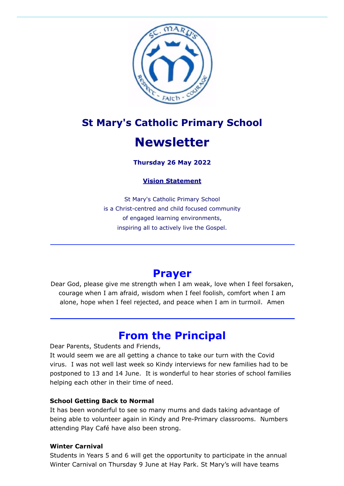

# **St Mary's Catholic Primary School Newsletter**

#### **Thursday 26 May 2022**

#### **Vision Statement**

St Mary's Catholic Primary School is a Christ-centred and child focused community of engaged learning environments, inspiring all to actively live the Gospel.

### **Prayer**

Dear God, please give me strength when I am weak, love when I feel forsaken, courage when I am afraid, wisdom when I feel foolish, comfort when I am alone, hope when I feel rejected, and peace when I am in turmoil. Amen

### **From the Principal**

Dear Parents, Students and Friends,

It would seem we are all getting a chance to take our turn with the Covid virus. I was not well last week so Kindy interviews for new families had to be postponed to 13 and 14 June. It is wonderful to hear stories of school families helping each other in their time of need.

#### **School Getting Back to Normal**

It has been wonderful to see so many mums and dads taking advantage of being able to volunteer again in Kindy and Pre-Primary classrooms. Numbers attending Play Café have also been strong.

#### **Winter Carnival**

Students in Years 5 and 6 will get the opportunity to participate in the annual Winter Carnival on Thursday 9 June at Hay Park. St Mary's will have teams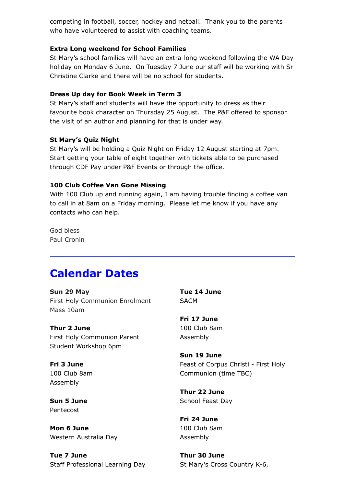competing in football, soccer, hockey and netball. Thank you to the parents who have volunteered to assist with coaching teams.

#### **Extra Long weekend for School Families**

St Mary's school families will have an extra-long weekend following the WA Day holiday on Monday 6 June. On Tuesday 7 June our staff will be working with Sr Christine Clarke and there will be no school for students.

#### **Dress Up day for Book Week in Term 3**

St Mary's staff and students will have the opportunity to dress as their favourite book character on Thursday 25 August. The P&F offered to sponsor the visit of an author and planning for that is under way.

#### **St Mary's Quiz Night**

St Mary's will be holding a Quiz Night on Friday 12 August starting at 7pm. Start getting your table of eight together with tickets able to be purchased through CDF Pay under P&F Events or through the office.

#### **100 Club Coffee Van Gone Missing**

With 100 Club up and running again, I am having trouble finding a coffee van to call in at 8am on a Friday morning. Please let me know if you have any contacts who can help.

God bless Paul Cronin

### **Calendar Dates**

**Sun 29 May** First Holy Communion Enrolment Mass 10am

**Thur 2 June** First Holy Communion Parent Student Workshop 6pm

**Fri 3 June** 100 Club 8am Assembly

**Sun 5 June** Pentecost

**Mon 6 June** Western Australia Day

**Tue 7 June** Staff Professional Learning Day

**Tue 14 June SACM** 

**Fri 17 June** 100 Club 8am Assembly

**Sun 19 June** Feast of Corpus Christi - First Holy Communion (time TBC)

**Thur 22 June** School Feast Day

**Fri 24 June** 100 Club 8am Assembly

**Thur 30 June** St Mary's Cross Country K-6,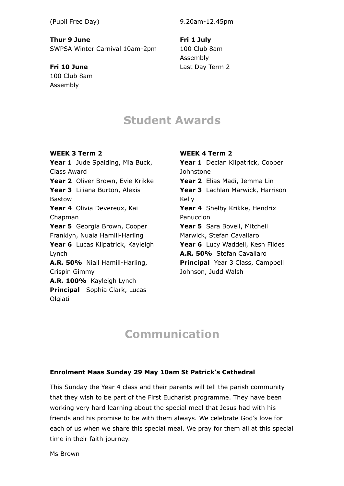#### (Pupil Free Day)

**Thur 9 June**

SWPSA Winter Carnival 10am-2pm

**Fri 10 June** 100 Club 8am Assembly

9.20am-12.45pm

**Fri 1 July** 100 Club 8am Assembly Last Day Term 2

### **Student Awards**

**WEEK 3 Term 2** Year 1 Jude Spalding, Mia Buck, Class Award **Year 2** Oliver Brown, Evie Krikke Year 3 Liliana Burton, Alexis Bastow **Year 4** Olivia Devereux, Kai Chapman Year 5 Georgia Brown, Cooper Franklyn, Nuala Hamill-Harling Year 6 Lucas Kilpatrick, Kayleigh Lynch **A.R. 50%** Niall Hamill-Harling, Crispin Gimmy **A.R. 100%** Kayleigh Lynch **Principal** Sophia Clark, Lucas Olgiati

#### **WEEK 4 Term 2**

Year 1 Declan Kilpatrick, Cooper Johnstone **Year 2** Elias Madi, Jemma Lin Year 3 Lachlan Marwick, Harrison Kelly Year 4 Shelby Krikke, Hendrix Panuccion Year 5 Sara Bovell, Mitchell Marwick, Stefan Cavallaro Year 6 Lucy Waddell, Kesh Fildes **A.R. 50%** Stefan Cavallaro **Principal** Year 3 Class, Campbell Johnson, Judd Walsh

## **Communication**

#### **Enrolment Mass Sunday 29 May 10am St Patrick's Cathedral**

This Sunday the Year 4 class and their parents will tell the parish community that they wish to be part of the First Eucharist programme. They have been working very hard learning about the special meal that Jesus had with his friends and his promise to be with them always. We celebrate God's love for each of us when we share this special meal. We pray for them all at this special time in their faith journey.

Ms Brown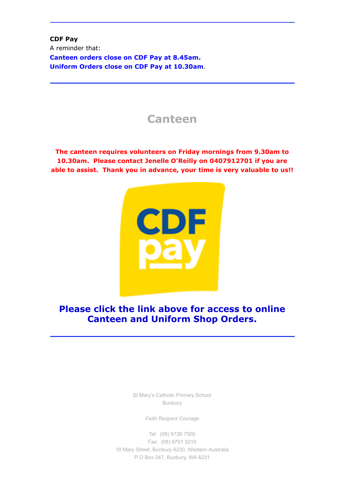**CDF Pay** A reminder that: **Canteen orders close on CDF Pay at 8.45am. Uniform Orders close on CDF Pay at 10.30am**.

### **Canteen**

**The canteen requires volunteers on Friday mornings from 9.30am to 10.30am. Please contact Jenelle O'Reilly on 0407912701 if you are able to assist. Thank you in advance, your time is very valuable to us!!**



**Please click the link above for access to online Canteen and Uniform Shop Orders.**

> St Mary's Catholic Primary School Bunbury

> > *Faith Respect Courage*

Tel: [\(08\) 9726 7500](tel:(08) 9726 7500) Fax: [\(08\) 9791 3219](tel:(08) 9791 3219) 18 Mary Street, Bunbury 6230, Western Australia P O Box 247, Bunbury, WA 6231